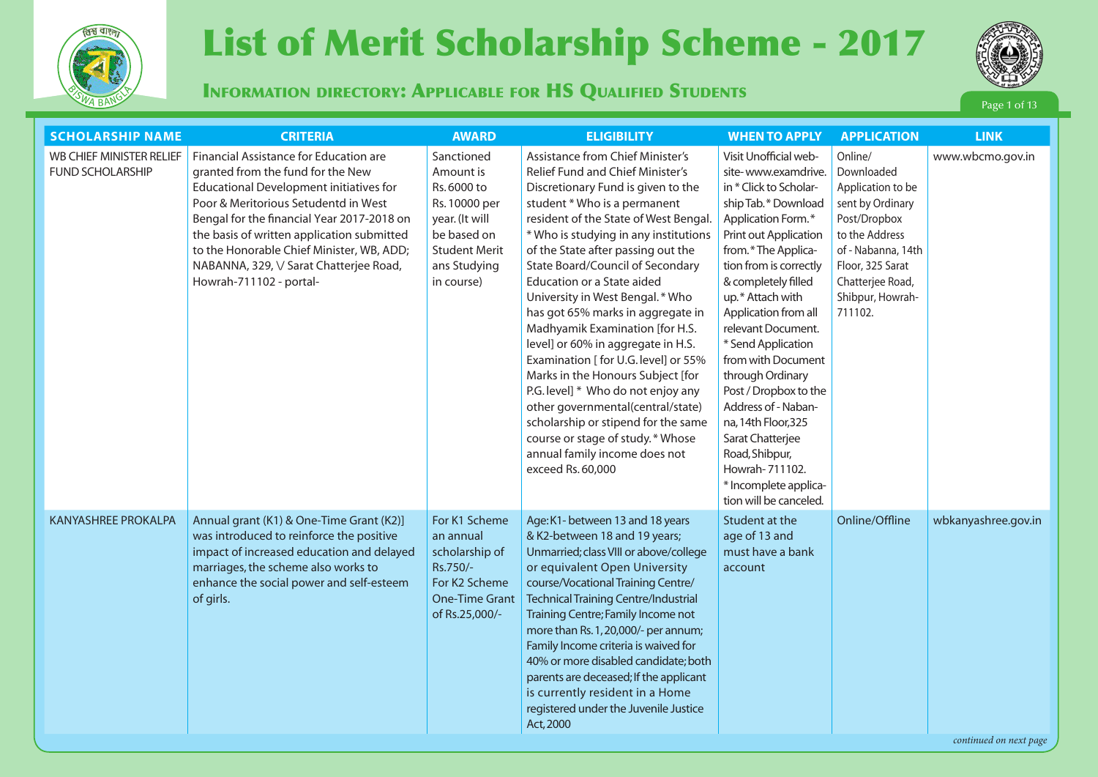

# **Page 13** *List of Merit Scholarship Scheme - 2017* (Information of Merit Scholarship Scheme - 2017



Information directory: Applicable for HS Qualified Students

Page 1 of 13

| <b>SCHOLARSHIP NAME</b>                             | <b>CRITERIA</b>                                                                                                                                                                                                                                                                                                                                                               | <b>AWARD</b>                                                                                                                                   | <b>ELIGIBILITY</b>                                                                                                                                                                                                                                                                                                                                                                                                                                                                                                                                                                                                                                                                                                                                                                     | <b>WHEN TO APPLY</b>                                                                                                                                                                                                                                                                                                                                                                                                                                                                                                                    | <b>APPLICATION</b>                                                                                                                                                                            | <b>LINK</b>                                   |
|-----------------------------------------------------|-------------------------------------------------------------------------------------------------------------------------------------------------------------------------------------------------------------------------------------------------------------------------------------------------------------------------------------------------------------------------------|------------------------------------------------------------------------------------------------------------------------------------------------|----------------------------------------------------------------------------------------------------------------------------------------------------------------------------------------------------------------------------------------------------------------------------------------------------------------------------------------------------------------------------------------------------------------------------------------------------------------------------------------------------------------------------------------------------------------------------------------------------------------------------------------------------------------------------------------------------------------------------------------------------------------------------------------|-----------------------------------------------------------------------------------------------------------------------------------------------------------------------------------------------------------------------------------------------------------------------------------------------------------------------------------------------------------------------------------------------------------------------------------------------------------------------------------------------------------------------------------------|-----------------------------------------------------------------------------------------------------------------------------------------------------------------------------------------------|-----------------------------------------------|
| WB CHIEF MINISTER RELIEF<br><b>FUND SCHOLARSHIP</b> | Financial Assistance for Education are<br>granted from the fund for the New<br>Educational Development initiatives for<br>Poor & Meritorious Setudentd in West<br>Bengal for the financial Year 2017-2018 on<br>the basis of written application submitted<br>to the Honorable Chief Minister, WB, ADD;<br>NABANNA, 329, \/ Sarat Chatterjee Road,<br>Howrah-711102 - portal- | Sanctioned<br>Amount is<br>Rs. 6000 to<br>Rs. 10000 per<br>year. (It will<br>be based on<br><b>Student Merit</b><br>ans Studying<br>in course) | <b>Assistance from Chief Minister's</b><br>Relief Fund and Chief Minister's<br>Discretionary Fund is given to the<br>student * Who is a permanent<br>resident of the State of West Bengal.<br>* Who is studying in any institutions<br>of the State after passing out the<br>State Board/Council of Secondary<br>Education or a State aided<br>University in West Bengal. * Who<br>has got 65% marks in aggregate in<br>Madhyamik Examination [for H.S.<br>level] or 60% in aggregate in H.S.<br>Examination [ for U.G. level] or 55%<br>Marks in the Honours Subject [for<br>P.G. level] * Who do not enjoy any<br>other governmental(central/state)<br>scholarship or stipend for the same<br>course or stage of study.* Whose<br>annual family income does not<br>exceed Rs. 60,000 | Visit Unofficial web-<br>site-www.examdrive.<br>in * Click to Scholar-<br>ship Tab.* Download<br>Application Form.*<br>Print out Application<br>from.*The Applica-<br>tion from is correctly<br>& completely filled<br>up.* Attach with<br>Application from all<br>relevant Document.<br>* Send Application<br>from with Document<br>through Ordinary<br>Post / Dropbox to the<br>Address of - Naban-<br>na, 14th Floor, 325<br>Sarat Chatterjee<br>Road, Shibpur,<br>Howrah-711102.<br>* Incomplete applica-<br>tion will be canceled. | Online/<br>Downloaded<br>Application to be<br>sent by Ordinary<br>Post/Dropbox<br>to the Address<br>of - Nabanna, 14th<br>Floor, 325 Sarat<br>Chatterjee Road,<br>Shibpur, Howrah-<br>711102. | www.wbcmo.gov.in                              |
| <b>KANYASHREE PROKALPA</b>                          | Annual grant (K1) & One-Time Grant (K2)]<br>was introduced to reinforce the positive<br>impact of increased education and delayed<br>marriages, the scheme also works to<br>enhance the social power and self-esteem<br>of girls.                                                                                                                                             | For K1 Scheme<br>an annual<br>scholarship of<br>Rs.750/-<br>For K2 Scheme<br><b>One-Time Grant</b><br>of Rs.25,000/-                           | Age: K1- between 13 and 18 years<br>& K2-between 18 and 19 years;<br>Unmarried; class VIII or above/college<br>or equivalent Open University<br>course/Vocational Training Centre/<br><b>Technical Training Centre/Industrial</b><br>Training Centre; Family Income not<br>more than Rs. 1, 20,000/- per annum;<br>Family Income criteria is waived for<br>40% or more disabled candidate; both<br>parents are deceased; If the applicant<br>is currently resident in a Home<br>registered under the Juvenile Justice<br>Act, 2000                                                                                                                                                                                                                                                     | Student at the<br>age of 13 and<br>must have a bank<br>account                                                                                                                                                                                                                                                                                                                                                                                                                                                                          | Online/Offline                                                                                                                                                                                | wbkanyashree.gov.in<br>continued on next page |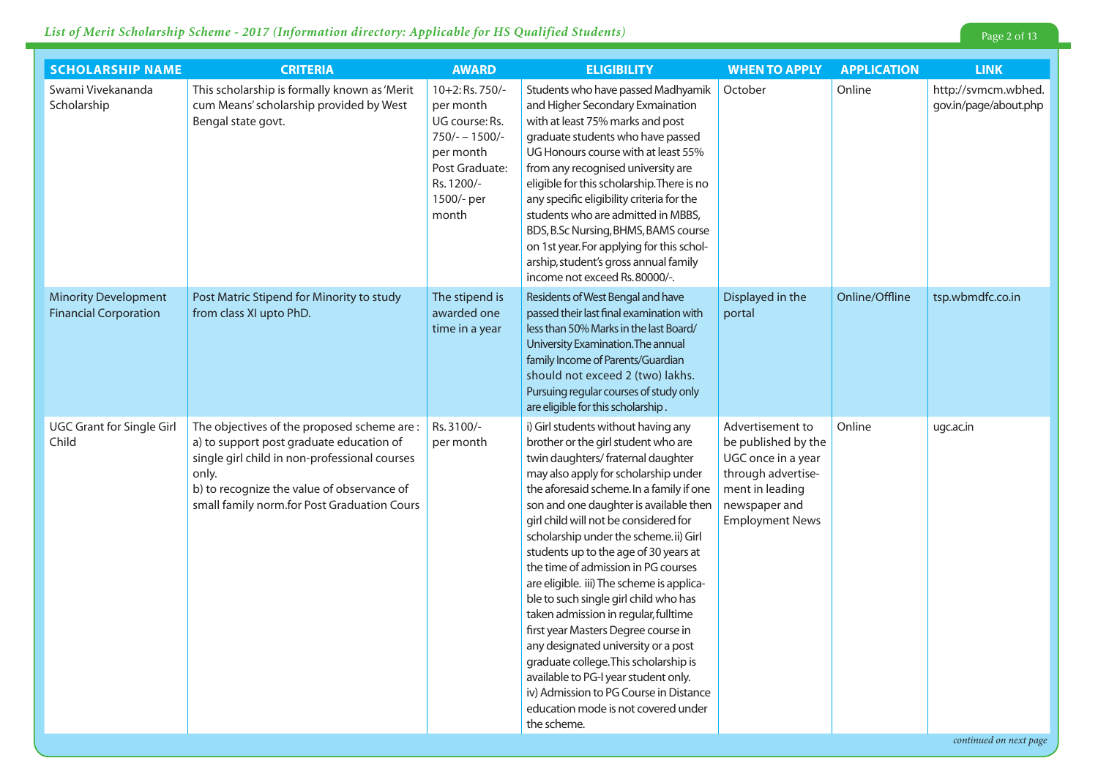## *List of Merit Scholarship Scheme - 2017 (Information directory: Applicable for HS Qualified Students)* Page 2 of 13

| <b>SCHOLARSHIP NAME</b>                                     | <b>CRITERIA</b>                                                                                                                                                                                                                               | <b>AWARD</b>                                                                                                                           | <b>ELIGIBILITY</b>                                                                                                                                                                                                                                                                                                                                                                                                                                                                                                                                                                                                                                                                                                                                                                                            | <b>WHEN TO APPLY</b>                                                                                                                              | <b>APPLICATION</b> | <b>LINK</b>                                  |
|-------------------------------------------------------------|-----------------------------------------------------------------------------------------------------------------------------------------------------------------------------------------------------------------------------------------------|----------------------------------------------------------------------------------------------------------------------------------------|---------------------------------------------------------------------------------------------------------------------------------------------------------------------------------------------------------------------------------------------------------------------------------------------------------------------------------------------------------------------------------------------------------------------------------------------------------------------------------------------------------------------------------------------------------------------------------------------------------------------------------------------------------------------------------------------------------------------------------------------------------------------------------------------------------------|---------------------------------------------------------------------------------------------------------------------------------------------------|--------------------|----------------------------------------------|
| Swami Vivekananda<br>Scholarship                            | This scholarship is formally known as 'Merit<br>cum Means' scholarship provided by West<br>Bengal state govt.                                                                                                                                 | 10+2: Rs. 750/-<br>per month<br>UG course: Rs.<br>$750/- - 1500/-$<br>per month<br>Post Graduate:<br>Rs. 1200/-<br>1500/- per<br>month | Students who have passed Madhyamik<br>and Higher Secondary Exmaination<br>with at least 75% marks and post<br>graduate students who have passed<br>UG Honours course with at least 55%<br>from any recognised university are<br>eligible for this scholarship. There is no<br>any specific eligibility criteria for the<br>students who are admitted in MBBS,<br>BDS, B.Sc Nursing, BHMS, BAMS course<br>on 1st year. For applying for this schol-<br>arship, student's gross annual family<br>income not exceed Rs. 80000/-.                                                                                                                                                                                                                                                                                 | October                                                                                                                                           | Online             | http://svmcm.wbhed.<br>gov.in/page/about.php |
| <b>Minority Development</b><br><b>Financial Corporation</b> | Post Matric Stipend for Minority to study<br>from class XI upto PhD.                                                                                                                                                                          | The stipend is<br>awarded one<br>time in a year                                                                                        | Residents of West Bengal and have<br>passed their last final examination with<br>less than 50% Marks in the last Board/<br>University Examination. The annual<br>family Income of Parents/Guardian<br>should not exceed 2 (two) lakhs.<br>Pursuing regular courses of study only<br>are eligible for this scholarship.                                                                                                                                                                                                                                                                                                                                                                                                                                                                                        | Displayed in the<br>portal                                                                                                                        | Online/Offline     | tsp.wbmdfc.co.in                             |
| <b>UGC Grant for Single Girl</b><br>Child                   | The objectives of the proposed scheme are:<br>a) to support post graduate education of<br>single girl child in non-professional courses<br>only.<br>b) to recognize the value of observance of<br>small family norm.for Post Graduation Cours | Rs. 3100/-<br>per month                                                                                                                | i) Girl students without having any<br>brother or the girl student who are<br>twin daughters/ fraternal daughter<br>may also apply for scholarship under<br>the aforesaid scheme. In a family if one<br>son and one daughter is available then<br>girl child will not be considered for<br>scholarship under the scheme.ii) Girl<br>students up to the age of 30 years at<br>the time of admission in PG courses<br>are eligible. iii) The scheme is applica-<br>ble to such single girl child who has<br>taken admission in regular, fulltime<br>first year Masters Degree course in<br>any designated university or a post<br>graduate college. This scholarship is<br>available to PG-I year student only.<br>iv) Admission to PG Course in Distance<br>education mode is not covered under<br>the scheme. | Advertisement to<br>be published by the<br>UGC once in a year<br>through advertise-<br>ment in leading<br>newspaper and<br><b>Employment News</b> | Online             | ugc.ac.in                                    |

*continued on next page*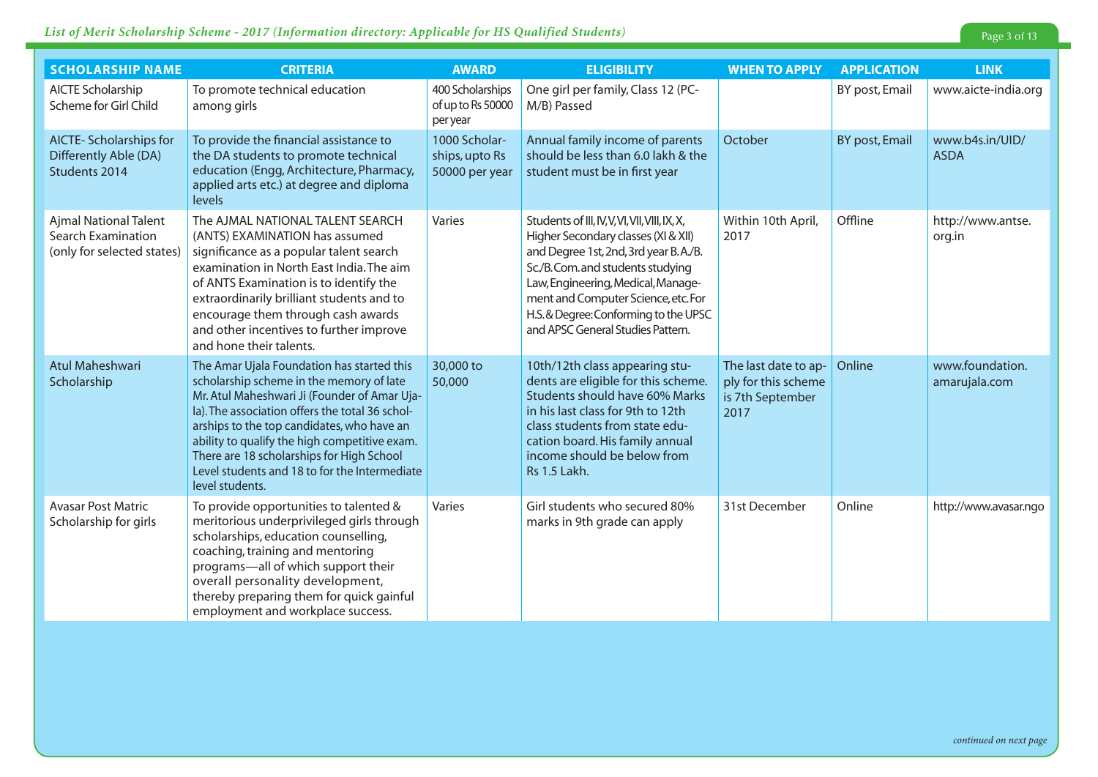#### *List of Merit Scholarship Scheme - 2017 (Information directory: Applicable for HS Qualified Students)* Page 3 of 13

| <b>SCHOLARSHIP NAME</b>                                                          | <b>CRITERIA</b>                                                                                                                                                                                                                                                                                                                                                                                           | <b>AWARD</b>                                      | <b>ELIGIBILITY</b>                                                                                                                                                                                                                                                                                                         | <b>WHEN TO APPLY</b>                                                    | <b>APPLICATION</b> | <b>LINK</b>                      |
|----------------------------------------------------------------------------------|-----------------------------------------------------------------------------------------------------------------------------------------------------------------------------------------------------------------------------------------------------------------------------------------------------------------------------------------------------------------------------------------------------------|---------------------------------------------------|----------------------------------------------------------------------------------------------------------------------------------------------------------------------------------------------------------------------------------------------------------------------------------------------------------------------------|-------------------------------------------------------------------------|--------------------|----------------------------------|
| AICTE Scholarship<br>Scheme for Girl Child                                       | To promote technical education<br>among girls                                                                                                                                                                                                                                                                                                                                                             | 400 Scholarships<br>of up to Rs 50000<br>per year | One girl per family, Class 12 (PC-<br>M/B) Passed                                                                                                                                                                                                                                                                          |                                                                         | BY post, Email     | www.aicte-india.org              |
| <b>AICTE- Scholarships for</b><br>Differently Able (DA)<br>Students 2014         | To provide the financial assistance to<br>the DA students to promote technical<br>education (Engg, Architecture, Pharmacy,<br>applied arts etc.) at degree and diploma<br>levels                                                                                                                                                                                                                          | 1000 Scholar-<br>ships, upto Rs<br>50000 per year | Annual family income of parents<br>should be less than 6.0 lakh & the<br>student must be in first year                                                                                                                                                                                                                     | October                                                                 | BY post, Email     | www.b4s.in/UID/<br><b>ASDA</b>   |
| Ajmal National Talent<br><b>Search Examination</b><br>(only for selected states) | The AJMAL NATIONAL TALENT SEARCH<br>(ANTS) EXAMINATION has assumed<br>significance as a popular talent search<br>examination in North East India. The aim<br>of ANTS Examination is to identify the<br>extraordinarily brilliant students and to<br>encourage them through cash awards<br>and other incentives to further improve<br>and hone their talents.                                              | Varies                                            | Students of III, IV, V, VI, VII, VIII, IX, X,<br>Higher Secondary classes (XI & XII)<br>and Degree 1st, 2nd, 3rd year B.A./B.<br>Sc./B.Com.and students studying<br>Law, Engineering, Medical, Manage-<br>ment and Computer Science, etc. For<br>H.S.& Degree: Conforming to the UPSC<br>and APSC General Studies Pattern. | Within 10th April,<br>2017                                              | Offline            | http://www.antse.<br>org.in      |
| <b>Atul Maheshwari</b><br>Scholarship                                            | The Amar Ujala Foundation has started this<br>scholarship scheme in the memory of late<br>Mr. Atul Maheshwari Ji (Founder of Amar Uja-<br>la). The association offers the total 36 schol-<br>arships to the top candidates, who have an<br>ability to qualify the high competitive exam.<br>There are 18 scholarships for High School<br>Level students and 18 to for the Intermediate<br>level students. | 30,000 to<br>50,000                               | 10th/12th class appearing stu-<br>dents are eligible for this scheme.<br>Students should have 60% Marks<br>in his last class for 9th to 12th<br>class students from state edu-<br>cation board. His family annual<br>income should be below from<br><b>Rs 1.5 Lakh.</b>                                                    | The last date to ap-<br>ply for this scheme<br>is 7th September<br>2017 | Online             | www.foundation.<br>amarujala.com |
| <b>Avasar Post Matric</b><br>Scholarship for girls                               | To provide opportunities to talented &<br>meritorious underprivileged girls through<br>scholarships, education counselling,<br>coaching, training and mentoring<br>programs-all of which support their<br>overall personality development,<br>thereby preparing them for quick gainful<br>employment and workplace success.                                                                               | Varies                                            | Girl students who secured 80%<br>marks in 9th grade can apply                                                                                                                                                                                                                                                              | 31st December                                                           | Online             | http://www.avasar.ngo            |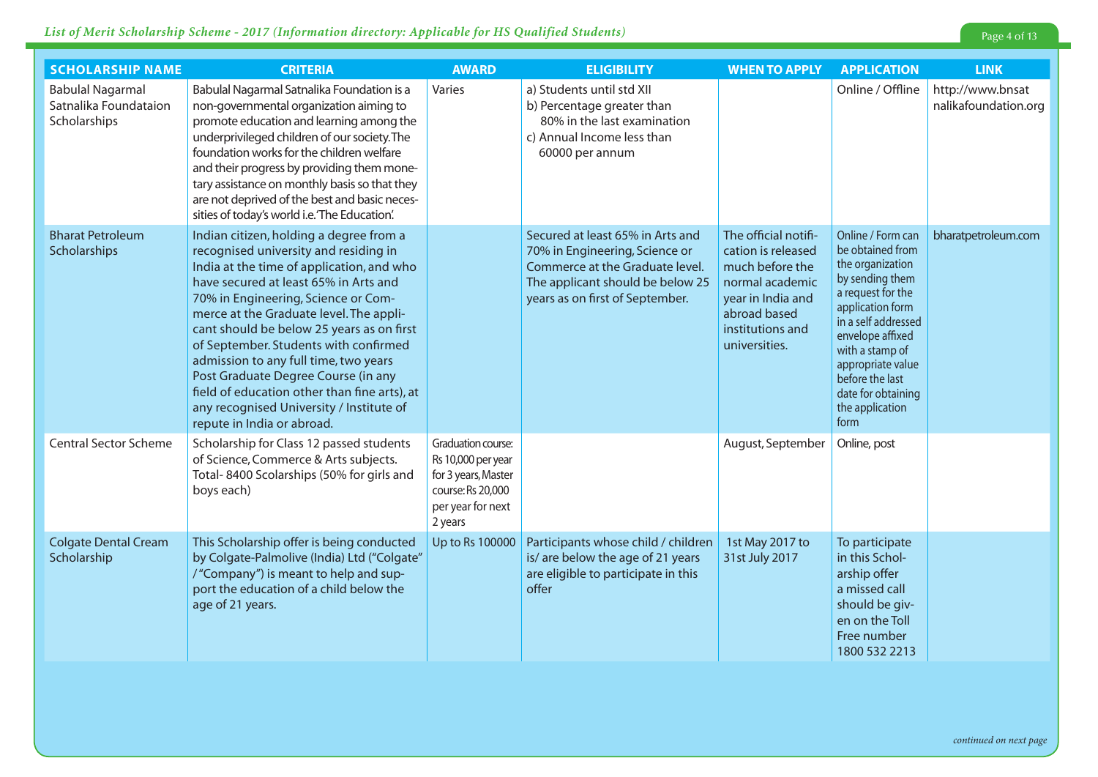| <b>SCHOLARSHIP NAME</b>                                          | <b>CRITERIA</b>                                                                                                                                                                                                                                                                                                                                                                                                                                                                                                                                          | <b>AWARD</b>                                                                                                         | <b>ELIGIBILITY</b>                                                                                                                                                           | <b>WHEN TO APPLY</b>                                                                                                                                       | <b>APPLICATION</b>                                                                                                                                                                                                                                                           | <b>LINK</b>                              |
|------------------------------------------------------------------|----------------------------------------------------------------------------------------------------------------------------------------------------------------------------------------------------------------------------------------------------------------------------------------------------------------------------------------------------------------------------------------------------------------------------------------------------------------------------------------------------------------------------------------------------------|----------------------------------------------------------------------------------------------------------------------|------------------------------------------------------------------------------------------------------------------------------------------------------------------------------|------------------------------------------------------------------------------------------------------------------------------------------------------------|------------------------------------------------------------------------------------------------------------------------------------------------------------------------------------------------------------------------------------------------------------------------------|------------------------------------------|
| <b>Babulal Nagarmal</b><br>Satnalika Foundataion<br>Scholarships | Babulal Nagarmal Satnalika Foundation is a<br>non-governmental organization aiming to<br>promote education and learning among the<br>underprivileged children of our society. The<br>foundation works for the children welfare<br>and their progress by providing them mone-<br>tary assistance on monthly basis so that they<br>are not deprived of the best and basic neces-<br>sities of today's world i.e.'The Education'.                                                                                                                           | Varies                                                                                                               | a) Students until std XII<br>b) Percentage greater than<br>80% in the last examination<br>c) Annual Income less than<br>60000 per annum                                      |                                                                                                                                                            | Online / Offline                                                                                                                                                                                                                                                             | http://www.bnsat<br>nalikafoundation.org |
| <b>Bharat Petroleum</b><br>Scholarships                          | Indian citizen, holding a degree from a<br>recognised university and residing in<br>India at the time of application, and who<br>have secured at least 65% in Arts and<br>70% in Engineering, Science or Com-<br>merce at the Graduate level. The appli-<br>cant should be below 25 years as on first<br>of September. Students with confirmed<br>admission to any full time, two years<br>Post Graduate Degree Course (in any<br>field of education other than fine arts), at<br>any recognised University / Institute of<br>repute in India or abroad. |                                                                                                                      | Secured at least 65% in Arts and<br>70% in Engineering, Science or<br>Commerce at the Graduate level.<br>The applicant should be below 25<br>years as on first of September. | The official notifi-<br>cation is released<br>much before the<br>normal academic<br>year in India and<br>abroad based<br>institutions and<br>universities. | Online / Form can<br>be obtained from<br>the organization<br>by sending them<br>a request for the<br>application form<br>in a self addressed<br>envelope affixed<br>with a stamp of<br>appropriate value<br>before the last<br>date for obtaining<br>the application<br>form | bharatpetroleum.com                      |
| <b>Central Sector Scheme</b>                                     | Scholarship for Class 12 passed students<br>of Science, Commerce & Arts subjects.<br>Total-8400 Scolarships (50% for girls and<br>boys each)                                                                                                                                                                                                                                                                                                                                                                                                             | Graduation course:<br>Rs 10,000 per year<br>for 3 years, Master<br>course: Rs 20,000<br>per year for next<br>2 years |                                                                                                                                                                              | August, September                                                                                                                                          | Online, post                                                                                                                                                                                                                                                                 |                                          |
| <b>Colgate Dental Cream</b><br>Scholarship                       | This Scholarship offer is being conducted<br>by Colgate-Palmolive (India) Ltd ("Colgate"<br>/"Company") is meant to help and sup-<br>port the education of a child below the<br>age of 21 years.                                                                                                                                                                                                                                                                                                                                                         | Up to Rs 100000                                                                                                      | Participants whose child / children<br>is/ are below the age of 21 years<br>are eligible to participate in this<br>offer                                                     | 1st May 2017 to<br>31st July 2017                                                                                                                          | To participate<br>in this Schol-<br>arship offer<br>a missed call<br>should be giv-<br>en on the Toll<br>Free number<br>1800 532 2213                                                                                                                                        |                                          |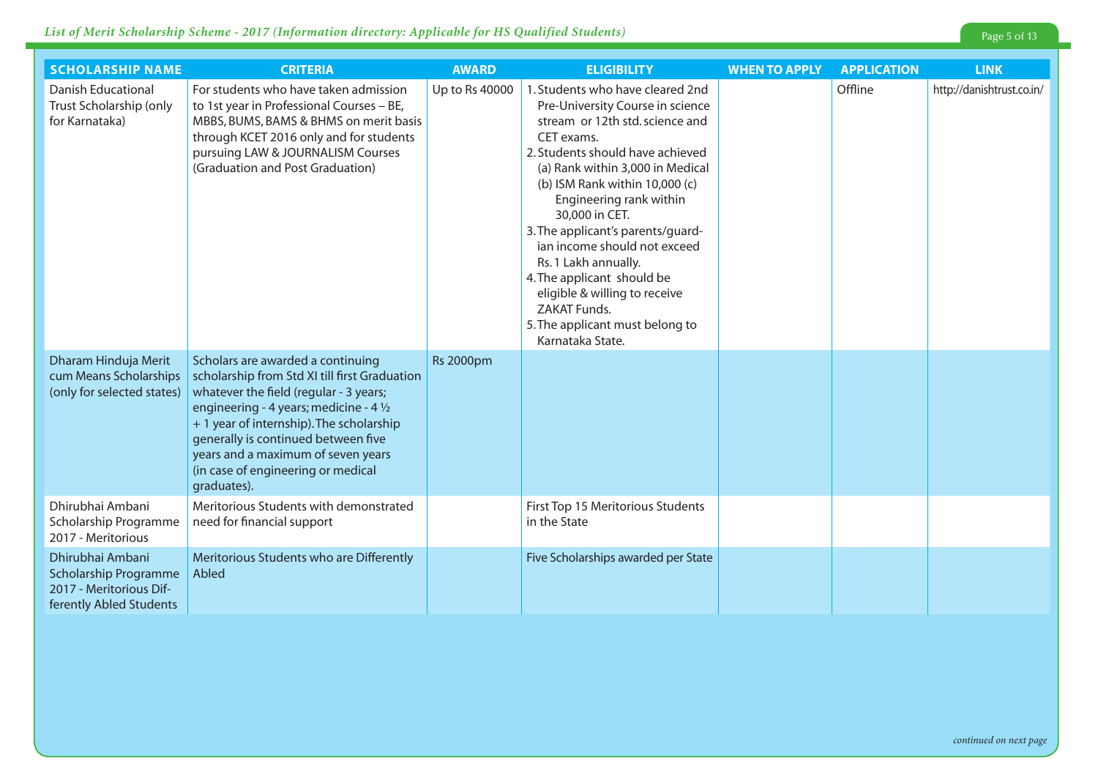| <b>SCHOLARSHIP NAME</b>                                                                                | <b>CRITERIA</b>                                                                                                                                                                                                                                                                                                                                                 | <b>AWARD</b>     | <b>ELIGIBILITY</b>                                                                                                                                                                                                                                                                                                                                                                                                                                                                                                     | <b>WHEN TO APPLY</b> | <b>APPLICATION</b> | <b>LINK</b>               |
|--------------------------------------------------------------------------------------------------------|-----------------------------------------------------------------------------------------------------------------------------------------------------------------------------------------------------------------------------------------------------------------------------------------------------------------------------------------------------------------|------------------|------------------------------------------------------------------------------------------------------------------------------------------------------------------------------------------------------------------------------------------------------------------------------------------------------------------------------------------------------------------------------------------------------------------------------------------------------------------------------------------------------------------------|----------------------|--------------------|---------------------------|
| <b>Danish Educational</b><br>Trust Scholarship (only<br>for Karnataka)                                 | For students who have taken admission<br>to 1st year in Professional Courses - BE,<br>MBBS, BUMS, BAMS & BHMS on merit basis<br>through KCET 2016 only and for students<br>pursuing LAW & JOURNALISM Courses<br>(Graduation and Post Graduation)                                                                                                                | Up to Rs 40000   | 1. Students who have cleared 2nd<br>Pre-University Course in science<br>stream or 12th std. science and<br>CET exams.<br>2. Students should have achieved<br>(a) Rank within 3,000 in Medical<br>(b) ISM Rank within 10,000 (c)<br>Engineering rank within<br>30,000 in CET.<br>3. The applicant's parents/guard-<br>ian income should not exceed<br>Rs. 1 Lakh annually.<br>4. The applicant should be<br>eligible & willing to receive<br><b>ZAKAT Funds.</b><br>5. The applicant must belong to<br>Karnataka State. |                      | Offline            | http://danishtrust.co.in/ |
| Dharam Hinduja Merit<br>cum Means Scholarships<br>(only for selected states)                           | Scholars are awarded a continuing<br>scholarship from Std XI till first Graduation<br>whatever the field (regular - 3 years;<br>engineering - 4 years; medicine - 4 $\frac{1}{2}$<br>+ 1 year of internship). The scholarship<br>generally is continued between five<br>years and a maximum of seven years<br>(in case of engineering or medical<br>graduates). | <b>Rs 2000pm</b> |                                                                                                                                                                                                                                                                                                                                                                                                                                                                                                                        |                      |                    |                           |
| Dhirubhai Ambani<br>Scholarship Programme<br>2017 - Meritorious                                        | Meritorious Students with demonstrated<br>need for financial support                                                                                                                                                                                                                                                                                            |                  | First Top 15 Meritorious Students<br>in the State                                                                                                                                                                                                                                                                                                                                                                                                                                                                      |                      |                    |                           |
| Dhirubhai Ambani<br><b>Scholarship Programme</b><br>2017 - Meritorious Dif-<br>ferently Abled Students | Meritorious Students who are Differently<br>Abled                                                                                                                                                                                                                                                                                                               |                  | Five Scholarships awarded per State                                                                                                                                                                                                                                                                                                                                                                                                                                                                                    |                      |                    |                           |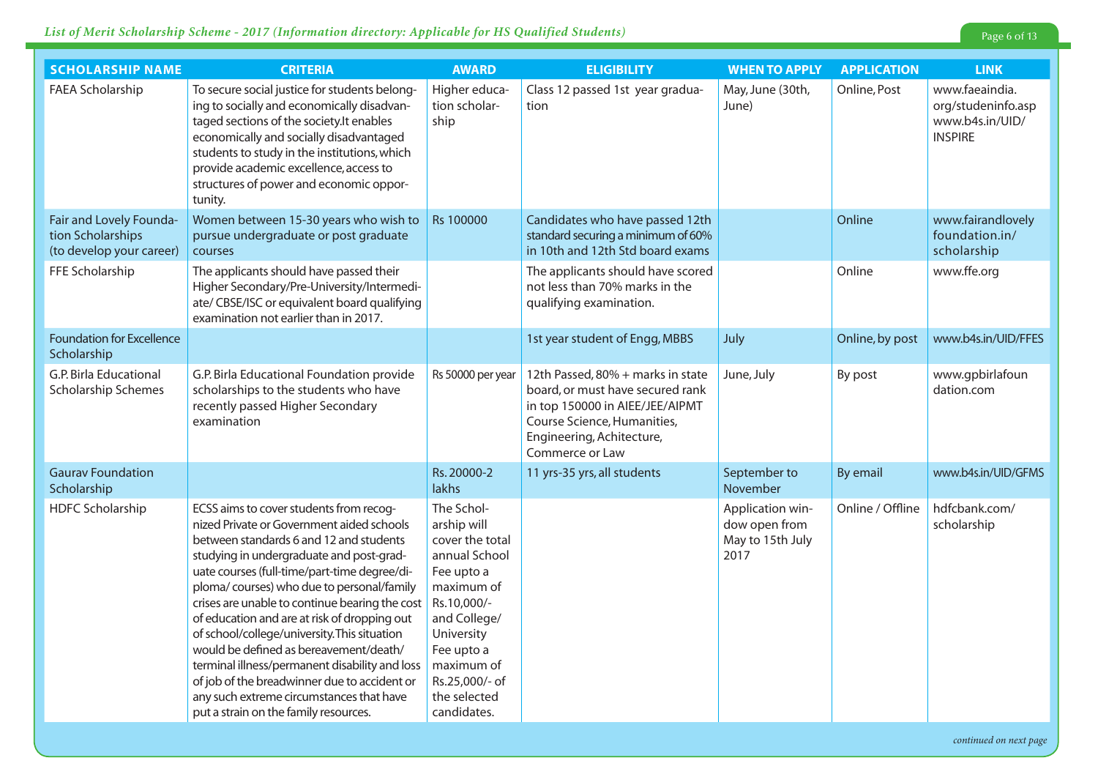### *List of Merit Scholarship Scheme - 2017 (Information directory: Applicable for HS Qualified Students)*

| <b>SCHOLARSHIP NAME</b>                                                  | <b>CRITERIA</b>                                                                                                                                                                                                                                                                                                                                                                                                                                                                                                                                                                                                                                             | <b>AWARD</b>                                                                                                                                                                                                        | <b>ELIGIBILITY</b>                                                                                                                                                                      | <b>WHEN TO APPLY</b>                                          | <b>APPLICATION</b> | <b>LINK</b>                                                               |
|--------------------------------------------------------------------------|-------------------------------------------------------------------------------------------------------------------------------------------------------------------------------------------------------------------------------------------------------------------------------------------------------------------------------------------------------------------------------------------------------------------------------------------------------------------------------------------------------------------------------------------------------------------------------------------------------------------------------------------------------------|---------------------------------------------------------------------------------------------------------------------------------------------------------------------------------------------------------------------|-----------------------------------------------------------------------------------------------------------------------------------------------------------------------------------------|---------------------------------------------------------------|--------------------|---------------------------------------------------------------------------|
| FAEA Scholarship                                                         | To secure social justice for students belong-<br>ing to socially and economically disadvan-<br>taged sections of the society. It enables<br>economically and socially disadvantaged<br>students to study in the institutions, which<br>provide academic excellence, access to<br>structures of power and economic oppor-<br>tunity.                                                                                                                                                                                                                                                                                                                         | Higher educa-<br>tion scholar-<br>ship                                                                                                                                                                              | Class 12 passed 1st year gradua-<br>tion                                                                                                                                                | May, June (30th,<br>June)                                     | Online, Post       | www.faeaindia.<br>org/studeninfo.asp<br>www.b4s.in/UID/<br><b>INSPIRE</b> |
| Fair and Lovely Founda-<br>tion Scholarships<br>(to develop your career) | Women between 15-30 years who wish to<br>pursue undergraduate or post graduate<br>courses                                                                                                                                                                                                                                                                                                                                                                                                                                                                                                                                                                   | Rs 100000                                                                                                                                                                                                           | Candidates who have passed 12th<br>standard securing a minimum of 60%<br>in 10th and 12th Std board exams                                                                               |                                                               | Online             | www.fairandlovely<br>foundation.in/<br>scholarship                        |
| FFE Scholarship                                                          | The applicants should have passed their<br>Higher Secondary/Pre-University/Intermedi-<br>ate/ CBSE/ISC or equivalent board qualifying<br>examination not earlier than in 2017.                                                                                                                                                                                                                                                                                                                                                                                                                                                                              |                                                                                                                                                                                                                     | The applicants should have scored<br>not less than 70% marks in the<br>qualifying examination.                                                                                          |                                                               | Online             | www.ffe.org                                                               |
| <b>Foundation for Excellence</b><br>Scholarship                          |                                                                                                                                                                                                                                                                                                                                                                                                                                                                                                                                                                                                                                                             |                                                                                                                                                                                                                     | 1st year student of Engg, MBBS                                                                                                                                                          | July                                                          | Online, by post    | www.b4s.in/UID/FFES                                                       |
| G.P. Birla Educational<br>Scholarship Schemes                            | G.P. Birla Educational Foundation provide<br>scholarships to the students who have<br>recently passed Higher Secondary<br>examination                                                                                                                                                                                                                                                                                                                                                                                                                                                                                                                       | Rs 50000 per year                                                                                                                                                                                                   | 12th Passed, 80% + marks in state<br>board, or must have secured rank<br>in top 150000 in AIEE/JEE/AIPMT<br>Course Science, Humanities,<br>Engineering, Achitecture,<br>Commerce or Law | June, July                                                    | By post            | www.gpbirlafoun<br>dation.com                                             |
| <b>Gaurav Foundation</b><br>Scholarship                                  |                                                                                                                                                                                                                                                                                                                                                                                                                                                                                                                                                                                                                                                             | Rs. 20000-2<br>lakhs                                                                                                                                                                                                | 11 yrs-35 yrs, all students                                                                                                                                                             | September to<br>November                                      | <b>By email</b>    | www.b4s.in/UID/GFMS                                                       |
| <b>HDFC Scholarship</b>                                                  | ECSS aims to cover students from recog-<br>nized Private or Government aided schools<br>between standards 6 and 12 and students<br>studying in undergraduate and post-grad-<br>uate courses (full-time/part-time degree/di-<br>ploma/courses) who due to personal/family<br>crises are unable to continue bearing the cost<br>of education and are at risk of dropping out<br>of school/college/university. This situation<br>would be defined as bereavement/death/<br>terminal illness/permanent disability and loss<br>of job of the breadwinner due to accident or<br>any such extreme circumstances that have<br>put a strain on the family resources. | The Schol-<br>arship will<br>cover the total<br>annual School<br>Fee upto a<br>maximum of<br>Rs.10,000/-<br>and College/<br>University<br>Fee upto a<br>maximum of<br>Rs.25,000/- of<br>the selected<br>candidates. |                                                                                                                                                                                         | Application win-<br>dow open from<br>May to 15th July<br>2017 | Online / Offline   | hdfcbank.com/<br>scholarship                                              |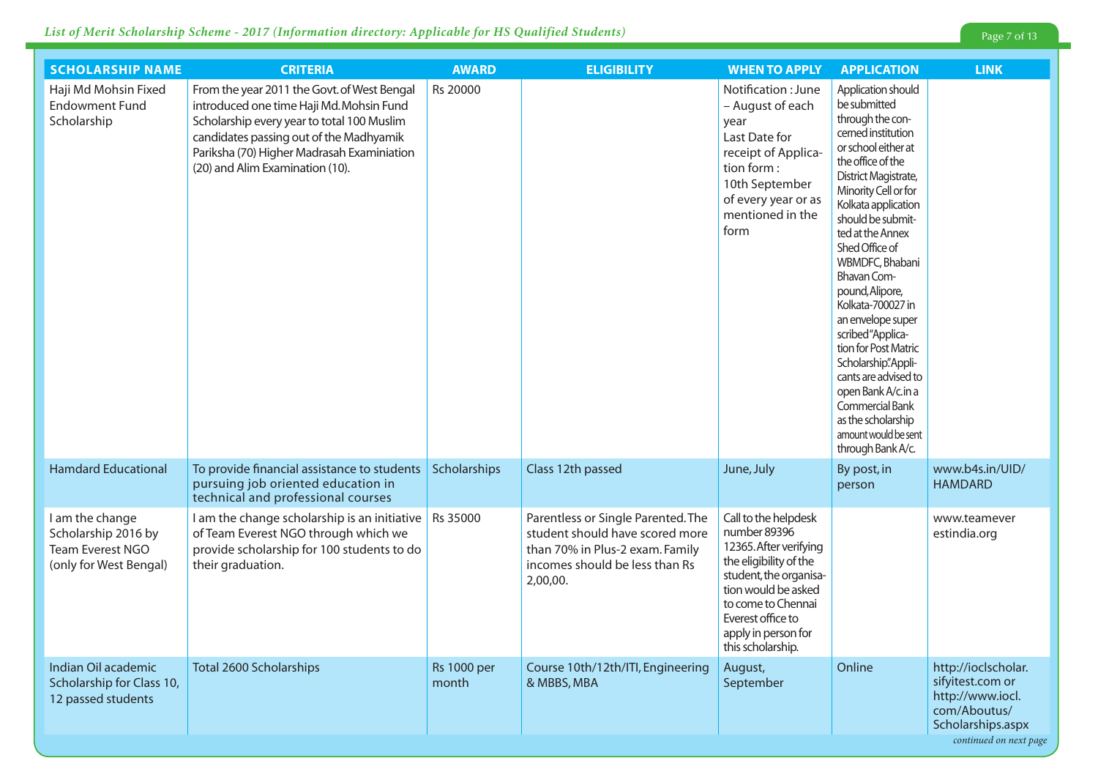| <b>SCHOLARSHIP NAME</b>                                                              | <b>CRITERIA</b>                                                                                                                                                                                                                                                   | <b>AWARD</b>                | <b>ELIGIBILITY</b>                                                                                                                                     | <b>WHEN TO APPLY</b>                                                                                                                                                                                                             | <b>APPLICATION</b>                                                                                                                                                                                                                                                                                                                                                                                                                                                                                                                                                | <b>LINK</b>                                                                                      |
|--------------------------------------------------------------------------------------|-------------------------------------------------------------------------------------------------------------------------------------------------------------------------------------------------------------------------------------------------------------------|-----------------------------|--------------------------------------------------------------------------------------------------------------------------------------------------------|----------------------------------------------------------------------------------------------------------------------------------------------------------------------------------------------------------------------------------|-------------------------------------------------------------------------------------------------------------------------------------------------------------------------------------------------------------------------------------------------------------------------------------------------------------------------------------------------------------------------------------------------------------------------------------------------------------------------------------------------------------------------------------------------------------------|--------------------------------------------------------------------------------------------------|
| Haji Md Mohsin Fixed<br><b>Endowment Fund</b><br>Scholarship                         | From the year 2011 the Govt. of West Bengal<br>introduced one time Haji Md. Mohsin Fund<br>Scholarship every year to total 100 Muslim<br>candidates passing out of the Madhyamik<br>Pariksha (70) Higher Madrasah Examiniation<br>(20) and Alim Examination (10). | Rs 20000                    |                                                                                                                                                        | Notification : June<br>- August of each<br>year<br>Last Date for<br>receipt of Applica-<br>tion form :<br>10th September<br>of every year or as<br>mentioned in the<br>form                                                      | Application should<br>be submitted<br>through the con-<br>cerned institution<br>or school either at<br>the office of the<br>District Magistrate,<br>Minority Cell or for<br>Kolkata application<br>should be submit-<br>ted at the Annex<br>Shed Office of<br>WBMDFC, Bhabani<br>Bhavan Com-<br>pound, Alipore,<br>Kolkata-700027 in<br>an envelope super<br>scribed "Applica-<br>tion for Post Matric<br>Scholarship".Appli-<br>cants are advised to<br>open Bank A/c.in a<br>Commercial Bank<br>as the scholarship<br>amount would be sent<br>through Bank A/c. |                                                                                                  |
| <b>Hamdard Educational</b>                                                           | To provide financial assistance to students<br>pursuing job oriented education in<br>technical and professional courses                                                                                                                                           | Scholarships                | Class 12th passed                                                                                                                                      | June, July                                                                                                                                                                                                                       | By post, in<br>person                                                                                                                                                                                                                                                                                                                                                                                                                                                                                                                                             | www.b4s.in/UID/<br><b>HAMDARD</b>                                                                |
| I am the change<br>Scholarship 2016 by<br>Team Everest NGO<br>(only for West Bengal) | I am the change scholarship is an initiative<br>of Team Everest NGO through which we<br>provide scholarship for 100 students to do<br>their graduation.                                                                                                           | Rs 35000                    | Parentless or Single Parented. The<br>student should have scored more<br>than 70% in Plus-2 exam. Family<br>incomes should be less than Rs<br>2,00,00. | Call to the helpdesk<br>number 89396<br>12365. After verifying<br>the eligibility of the<br>student, the organisa-<br>tion would be asked<br>to come to Chennai<br>Everest office to<br>apply in person for<br>this scholarship. |                                                                                                                                                                                                                                                                                                                                                                                                                                                                                                                                                                   | www.teamever<br>estindia.org                                                                     |
| Indian Oil academic<br>Scholarship for Class 10,<br>12 passed students               | <b>Total 2600 Scholarships</b>                                                                                                                                                                                                                                    | <b>Rs 1000 per</b><br>month | Course 10th/12th/ITI, Engineering<br>& MBBS, MBA                                                                                                       | August,<br>September                                                                                                                                                                                                             | Online                                                                                                                                                                                                                                                                                                                                                                                                                                                                                                                                                            | http://ioclscholar.<br>sifyitest.com or<br>http://www.iocl.<br>com/Aboutus/<br>Scholarships.aspx |

*continued on next page*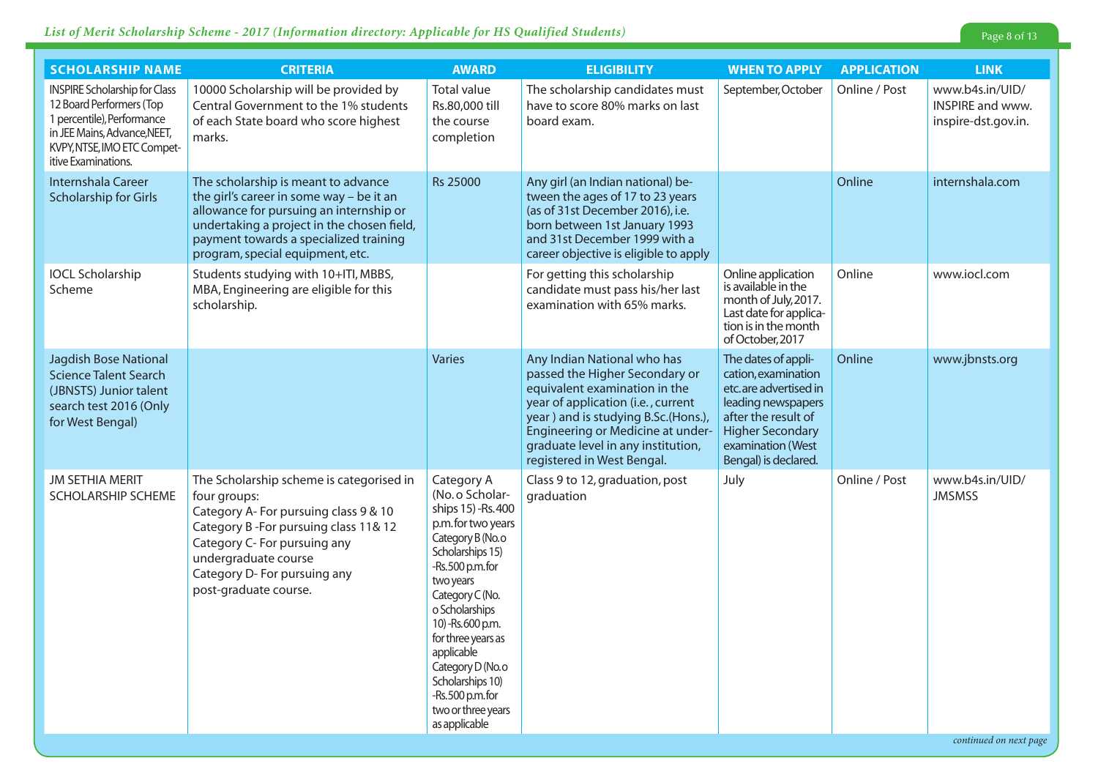| <b>SCHOLARSHIP NAME</b>                                                                                                                                                              | <b>CRITERIA</b>                                                                                                                                                                                                                                            | <b>AWARD</b>                                                                                                                                                                                                                                                                                                                                       | <b>ELIGIBILITY</b>                                                                                                                                                                                                                                                                   | <b>WHEN TO APPLY</b>                                                                                                                                                                     | <b>APPLICATION</b> | <b>LINK</b>                                                |
|--------------------------------------------------------------------------------------------------------------------------------------------------------------------------------------|------------------------------------------------------------------------------------------------------------------------------------------------------------------------------------------------------------------------------------------------------------|----------------------------------------------------------------------------------------------------------------------------------------------------------------------------------------------------------------------------------------------------------------------------------------------------------------------------------------------------|--------------------------------------------------------------------------------------------------------------------------------------------------------------------------------------------------------------------------------------------------------------------------------------|------------------------------------------------------------------------------------------------------------------------------------------------------------------------------------------|--------------------|------------------------------------------------------------|
| <b>INSPIRE Scholarship for Class</b><br>12 Board Performers (Top<br>1 percentile), Performance<br>in JEE Mains, Advance, NEET,<br>KVPY, NTSE, IMO ETC Compet-<br>itive Examinations. | 10000 Scholarship will be provided by<br>Central Government to the 1% students<br>of each State board who score highest<br>marks.                                                                                                                          | Total value<br>Rs.80,000 till<br>the course<br>completion                                                                                                                                                                                                                                                                                          | The scholarship candidates must<br>have to score 80% marks on last<br>board exam.                                                                                                                                                                                                    | September, October                                                                                                                                                                       | Online / Post      | www.b4s.in/UID/<br>INSPIRE and www.<br>inspire-dst.gov.in. |
| Internshala Career<br><b>Scholarship for Girls</b>                                                                                                                                   | The scholarship is meant to advance<br>the girl's career in some way - be it an<br>allowance for pursuing an internship or<br>undertaking a project in the chosen field,<br>payment towards a specialized training<br>program, special equipment, etc.     | <b>Rs 25000</b>                                                                                                                                                                                                                                                                                                                                    | Any girl (an Indian national) be-<br>tween the ages of 17 to 23 years<br>(as of 31st December 2016), i.e.<br>born between 1st January 1993<br>and 31st December 1999 with a<br>career objective is eligible to apply                                                                 |                                                                                                                                                                                          | Online             | internshala.com                                            |
| <b>IOCL Scholarship</b><br>Scheme                                                                                                                                                    | Students studying with 10+ITI, MBBS,<br>MBA, Engineering are eligible for this<br>scholarship.                                                                                                                                                             |                                                                                                                                                                                                                                                                                                                                                    | For getting this scholarship<br>candidate must pass his/her last<br>examination with 65% marks.                                                                                                                                                                                      | Online application<br>is available in the<br>month of July, 2017.<br>Last date for applica-<br>tion is in the month<br>of October, 2017                                                  | Online             | www.iocl.com                                               |
| <b>Jagdish Bose National</b><br><b>Science Talent Search</b><br>(JBNSTS) Junior talent<br>search test 2016 (Only<br>for West Bengal)                                                 |                                                                                                                                                                                                                                                            | Varies                                                                                                                                                                                                                                                                                                                                             | Any Indian National who has<br>passed the Higher Secondary or<br>equivalent examination in the<br>year of application (i.e., current<br>year) and is studying B.Sc.(Hons.),<br>Engineering or Medicine at under-<br>graduate level in any institution,<br>registered in West Bengal. | The dates of appli-<br>cation, examination<br>etc.are advertised in<br>leading newspapers<br>after the result of<br><b>Higher Secondary</b><br>examination (West<br>Bengal) is declared. | Online             | www.jbnsts.org                                             |
| JM SETHIA MERIT<br>SCHOLARSHIP SCHEME                                                                                                                                                | The Scholarship scheme is categorised in<br>four groups:<br>Category A- For pursuing class 9 & 10<br>Category B-For pursuing class 11& 12<br>Category C- For pursuing any<br>undergraduate course<br>Category D- For pursuing any<br>post-graduate course. | Category A<br>(No. o Scholar-<br>ships 15) -Rs. 400<br>p.m. for two years<br>Category B (No.o<br>Scholarships 15)<br>-Rs.500 p.m.for<br>two years<br>Category C (No.<br>o Scholarships<br>10) - Rs. 600 p.m.<br>for three years as<br>applicable<br>Category D (No.o<br>Scholarships 10)<br>-Rs.500 p.m.for<br>two or three years<br>as applicable | Class 9 to 12, graduation, post<br>graduation                                                                                                                                                                                                                                        | July                                                                                                                                                                                     | Online / Post      | www.b4s.in/UID/<br><b>JMSMSS</b>                           |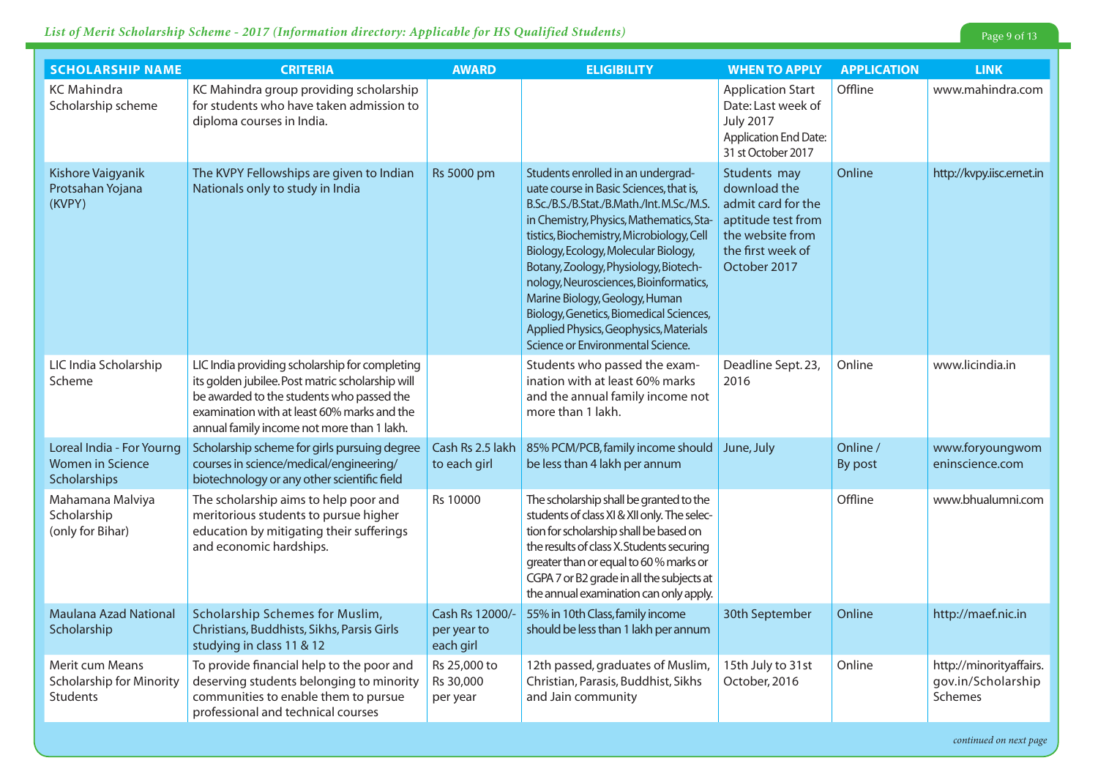| <b>SCHOLARSHIP NAME</b>                                                     | <b>CRITERIA</b>                                                                                                                                                                                                                              | <b>AWARD</b>                                | <b>ELIGIBILITY</b>                                                                                                                                                                                                                                                                                                                                                                                                                                                                                         | <b>WHEN TO APPLY</b>                                                                                                              | <b>APPLICATION</b>  | <b>LINK</b>                                              |
|-----------------------------------------------------------------------------|----------------------------------------------------------------------------------------------------------------------------------------------------------------------------------------------------------------------------------------------|---------------------------------------------|------------------------------------------------------------------------------------------------------------------------------------------------------------------------------------------------------------------------------------------------------------------------------------------------------------------------------------------------------------------------------------------------------------------------------------------------------------------------------------------------------------|-----------------------------------------------------------------------------------------------------------------------------------|---------------------|----------------------------------------------------------|
| <b>KC</b> Mahindra<br>Scholarship scheme                                    | KC Mahindra group providing scholarship<br>for students who have taken admission to<br>diploma courses in India.                                                                                                                             |                                             |                                                                                                                                                                                                                                                                                                                                                                                                                                                                                                            | <b>Application Start</b><br>Date: Last week of<br><b>July 2017</b><br><b>Application End Date:</b><br>31 st October 2017          | Offline             | www.mahindra.com                                         |
| Kishore Vaigyanik<br>Protsahan Yojana<br>(KVPY)                             | The KVPY Fellowships are given to Indian<br>Nationals only to study in India                                                                                                                                                                 | Rs 5000 pm                                  | Students enrolled in an undergrad-<br>uate course in Basic Sciences, that is,<br>B.Sc./B.S./B.Stat./B.Math./Int.M.Sc./M.S.<br>in Chemistry, Physics, Mathematics, Sta-<br>tistics, Biochemistry, Microbiology, Cell<br>Biology, Ecology, Molecular Biology,<br>Botany, Zoology, Physiology, Biotech-<br>nology, Neurosciences, Bioinformatics,<br>Marine Biology, Geology, Human<br>Biology, Genetics, Biomedical Sciences,<br>Applied Physics, Geophysics, Materials<br>Science or Environmental Science. | Students may<br>download the<br>admit card for the<br>aptitude test from<br>the website from<br>the first week of<br>October 2017 | Online              | http://kvpy.iisc.ernet.in                                |
| LIC India Scholarship<br>Scheme                                             | LIC India providing scholarship for completing<br>its golden jubilee. Post matric scholarship will<br>be awarded to the students who passed the<br>examination with at least 60% marks and the<br>annual family income not more than 1 lakh. |                                             | Students who passed the exam-<br>ination with at least 60% marks<br>and the annual family income not<br>more than 1 lakh.                                                                                                                                                                                                                                                                                                                                                                                  | Deadline Sept. 23,<br>2016                                                                                                        | Online              | www.licindia.in                                          |
| Loreal India - For Yourng<br><b>Women in Science</b><br><b>Scholarships</b> | Scholarship scheme for girls pursuing degree<br>courses in science/medical/engineering/<br>biotechnology or any other scientific field                                                                                                       | Cash Rs 2.5 lakh<br>to each girl            | 85% PCM/PCB, family income should June, July<br>be less than 4 lakh per annum                                                                                                                                                                                                                                                                                                                                                                                                                              |                                                                                                                                   | Online /<br>By post | www.foryoungwom<br>eninscience.com                       |
| Mahamana Malviya<br>Scholarship<br>(only for Bihar)                         | The scholarship aims to help poor and<br>meritorious students to pursue higher<br>education by mitigating their sufferings<br>and economic hardships.                                                                                        | Rs 10000                                    | The scholarship shall be granted to the<br>students of class XI & XII only. The selec-<br>tion for scholarship shall be based on<br>the results of class X. Students securing<br>greater than or equal to 60 % marks or<br>CGPA 7 or B2 grade in all the subjects at<br>the annual examination can only apply.                                                                                                                                                                                             |                                                                                                                                   | Offline             | www.bhualumni.com                                        |
| <b>Maulana Azad National</b><br>Scholarship                                 | Scholarship Schemes for Muslim,<br>Christians, Buddhists, Sikhs, Parsis Girls<br>studying in class 11 & 12                                                                                                                                   | Cash Rs 12000/-<br>per year to<br>each girl | 55% in 10th Class, family income<br>should be less than 1 lakh per annum                                                                                                                                                                                                                                                                                                                                                                                                                                   | 30th September                                                                                                                    | Online              | http://maef.nic.in                                       |
| Merit cum Means<br>Scholarship for Minority<br><b>Students</b>              | To provide financial help to the poor and<br>deserving students belonging to minority<br>communities to enable them to pursue<br>professional and technical courses                                                                          | Rs 25,000 to<br>Rs 30,000<br>per year       | 12th passed, graduates of Muslim,<br>Christian, Parasis, Buddhist, Sikhs<br>and Jain community                                                                                                                                                                                                                                                                                                                                                                                                             | 15th July to 31st<br>October, 2016                                                                                                | Online              | http://minorityaffairs.<br>gov.in/Scholarship<br>Schemes |

*continued on next page*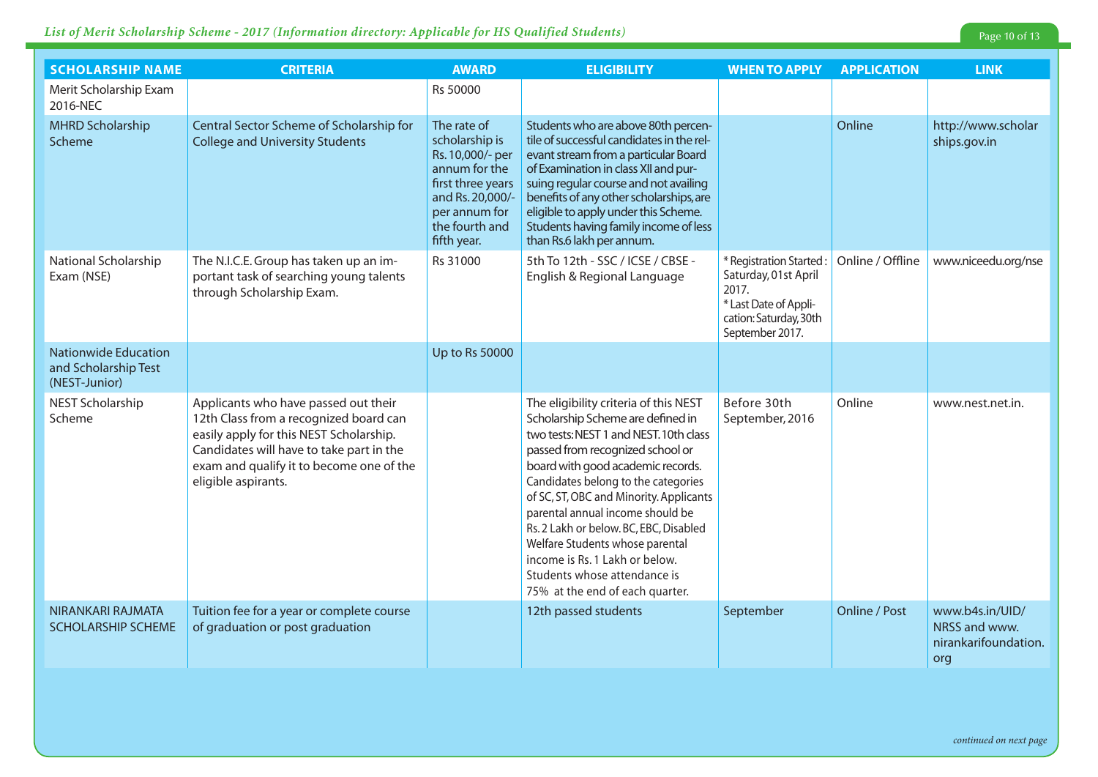#### **List of Merit Scholarship Scheme - 2017 (Information directory: Applicable for HS Qualified Students)**

| <b>SCHOLARSHIP NAME</b>                                              | <b>CRITERIA</b>                                                                                                                                                                                                                          | <b>AWARD</b>                                                                                                                                                  | <b>ELIGIBILITY</b>                                                                                                                                                                                                                                                                                                                                                                                                                                                                                    | <b>WHEN TO APPLY</b>                                                                                                           | <b>APPLICATION</b> | <b>LINK</b>                                                     |
|----------------------------------------------------------------------|------------------------------------------------------------------------------------------------------------------------------------------------------------------------------------------------------------------------------------------|---------------------------------------------------------------------------------------------------------------------------------------------------------------|-------------------------------------------------------------------------------------------------------------------------------------------------------------------------------------------------------------------------------------------------------------------------------------------------------------------------------------------------------------------------------------------------------------------------------------------------------------------------------------------------------|--------------------------------------------------------------------------------------------------------------------------------|--------------------|-----------------------------------------------------------------|
| Merit Scholarship Exam<br>2016-NEC                                   |                                                                                                                                                                                                                                          | Rs 50000                                                                                                                                                      |                                                                                                                                                                                                                                                                                                                                                                                                                                                                                                       |                                                                                                                                |                    |                                                                 |
| <b>MHRD Scholarship</b><br>Scheme                                    | Central Sector Scheme of Scholarship for<br><b>College and University Students</b>                                                                                                                                                       | The rate of<br>scholarship is<br>Rs. 10,000/- per<br>annum for the<br>first three years<br>and Rs. 20,000/-<br>per annum for<br>the fourth and<br>fifth year. | Students who are above 80th percen-<br>tile of successful candidates in the rel-<br>evant stream from a particular Board<br>of Examination in class XII and pur-<br>suing regular course and not availing<br>benefits of any other scholarships, are<br>eligible to apply under this Scheme.<br>Students having family income of less<br>than Rs.6 lakh per annum.                                                                                                                                    |                                                                                                                                | Online             | http://www.scholar<br>ships.gov.in                              |
| National Scholarship<br>Exam (NSE)                                   | The N.I.C.E. Group has taken up an im-<br>portant task of searching young talents<br>through Scholarship Exam.                                                                                                                           | Rs 31000                                                                                                                                                      | 5th To 12th - SSC / ICSE / CBSE -<br>English & Regional Language                                                                                                                                                                                                                                                                                                                                                                                                                                      | * Registration Started:<br>Saturday, 01st April<br>2017.<br>* Last Date of Appli-<br>cation: Saturday, 30th<br>September 2017. | Online / Offline   | www.niceedu.org/nse                                             |
| <b>Nationwide Education</b><br>and Scholarship Test<br>(NEST-Junior) |                                                                                                                                                                                                                                          | Up to Rs 50000                                                                                                                                                |                                                                                                                                                                                                                                                                                                                                                                                                                                                                                                       |                                                                                                                                |                    |                                                                 |
| NEST Scholarship<br>Scheme                                           | Applicants who have passed out their<br>12th Class from a recognized board can<br>easily apply for this NEST Scholarship.<br>Candidates will have to take part in the<br>exam and qualify it to become one of the<br>eligible aspirants. |                                                                                                                                                               | The eligibility criteria of this NEST<br>Scholarship Scheme are defined in<br>two tests: NEST 1 and NEST. 10th class<br>passed from recognized school or<br>board with good academic records.<br>Candidates belong to the categories<br>of SC, ST, OBC and Minority. Applicants<br>parental annual income should be<br>Rs. 2 Lakh or below. BC, EBC, Disabled<br>Welfare Students whose parental<br>income is Rs. 1 Lakh or below.<br>Students whose attendance is<br>75% at the end of each quarter. | Before 30th<br>September, 2016                                                                                                 | Online             | www.nest.net.in.                                                |
| NIRANKARI RAJMATA<br><b>SCHOLARSHIP SCHEME</b>                       | Tuition fee for a year or complete course<br>of graduation or post graduation                                                                                                                                                            |                                                                                                                                                               | 12th passed students                                                                                                                                                                                                                                                                                                                                                                                                                                                                                  | September                                                                                                                      | Online / Post      | www.b4s.in/UID/<br>NRSS and www.<br>nirankarifoundation.<br>org |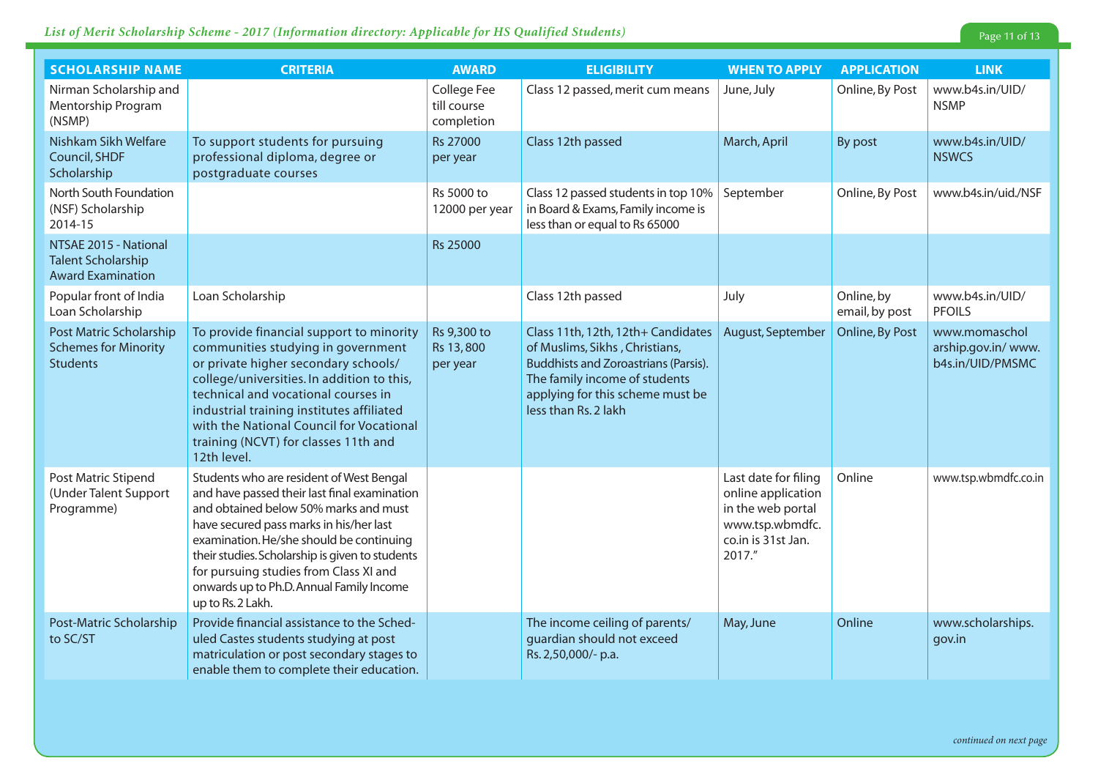### *List of Merit Scholarship Scheme - 2017 (Information directory: Applicable for HS Qualified Students)* Page 11 of 13

| <b>SCHOLARSHIP NAME</b>                                                        | <b>CRITERIA</b>                                                                                                                                                                                                                                                                                                                                                                        | <b>AWARD</b>                             | <b>ELIGIBILITY</b>                                                                                                                                                                                               | <b>WHEN TO APPLY</b>                                                                                               | <b>APPLICATION</b>           | <b>LINK</b>                                              |
|--------------------------------------------------------------------------------|----------------------------------------------------------------------------------------------------------------------------------------------------------------------------------------------------------------------------------------------------------------------------------------------------------------------------------------------------------------------------------------|------------------------------------------|------------------------------------------------------------------------------------------------------------------------------------------------------------------------------------------------------------------|--------------------------------------------------------------------------------------------------------------------|------------------------------|----------------------------------------------------------|
| Nirman Scholarship and<br>Mentorship Program<br>(NSMP)                         |                                                                                                                                                                                                                                                                                                                                                                                        | College Fee<br>till course<br>completion | Class 12 passed, merit cum means                                                                                                                                                                                 | June, July                                                                                                         | Online, By Post              | www.b4s.in/UID/<br><b>NSMP</b>                           |
| Nishkam Sikh Welfare<br>Council, SHDF<br>Scholarship                           | To support students for pursuing<br>professional diploma, degree or<br>postgraduate courses                                                                                                                                                                                                                                                                                            | <b>Rs 27000</b><br>per year              | Class 12th passed                                                                                                                                                                                                | March, April                                                                                                       | By post                      | www.b4s.in/UID/<br><b>NSWCS</b>                          |
| North South Foundation<br>(NSF) Scholarship<br>2014-15                         |                                                                                                                                                                                                                                                                                                                                                                                        | Rs 5000 to<br>12000 per year             | Class 12 passed students in top 10%<br>in Board & Exams, Family income is<br>less than or equal to Rs 65000                                                                                                      | September                                                                                                          | Online, By Post              | www.b4s.in/uid./NSF                                      |
| NTSAE 2015 - National<br><b>Talent Scholarship</b><br><b>Award Examination</b> |                                                                                                                                                                                                                                                                                                                                                                                        | <b>Rs 25000</b>                          |                                                                                                                                                                                                                  |                                                                                                                    |                              |                                                          |
| Popular front of India<br>Loan Scholarship                                     | Loan Scholarship                                                                                                                                                                                                                                                                                                                                                                       |                                          | Class 12th passed                                                                                                                                                                                                | July                                                                                                               | Online, by<br>email, by post | www.b4s.in/UID/<br><b>PFOILS</b>                         |
| Post Matric Scholarship<br><b>Schemes for Minority</b><br><b>Students</b>      | To provide financial support to minority<br>communities studying in government<br>or private higher secondary schools/<br>college/universities. In addition to this,<br>technical and vocational courses in<br>industrial training institutes affiliated<br>with the National Council for Vocational<br>training (NCVT) for classes 11th and<br>12th level.                            | Rs 9,300 to<br>Rs 13,800<br>per year     | Class 11th, 12th, 12th+ Candidates<br>of Muslims, Sikhs, Christians,<br><b>Buddhists and Zoroastrians (Parsis).</b><br>The family income of students<br>applying for this scheme must be<br>less than Rs. 2 lakh | August, September                                                                                                  | Online, By Post              | www.momaschol<br>arship.gov.in/ www.<br>b4s.in/UID/PMSMC |
| Post Matric Stipend<br>(Under Talent Support<br>Programme)                     | Students who are resident of West Bengal<br>and have passed their last final examination<br>and obtained below 50% marks and must<br>have secured pass marks in his/her last<br>examination. He/she should be continuing<br>their studies. Scholarship is given to students<br>for pursuing studies from Class XI and<br>onwards up to Ph.D. Annual Family Income<br>up to Rs. 2 Lakh. |                                          |                                                                                                                                                                                                                  | Last date for filing<br>online application<br>in the web portal<br>www.tsp.wbmdfc.<br>co.in is 31st Jan.<br>2017." | Online                       | www.tsp.wbmdfc.co.in                                     |
| Post-Matric Scholarship<br>to SC/ST                                            | Provide financial assistance to the Sched-<br>uled Castes students studying at post<br>matriculation or post secondary stages to<br>enable them to complete their education.                                                                                                                                                                                                           |                                          | The income ceiling of parents/<br>guardian should not exceed<br>Rs. 2,50,000/- p.a.                                                                                                                              | May, June                                                                                                          | Online                       | www.scholarships.<br>gov.in                              |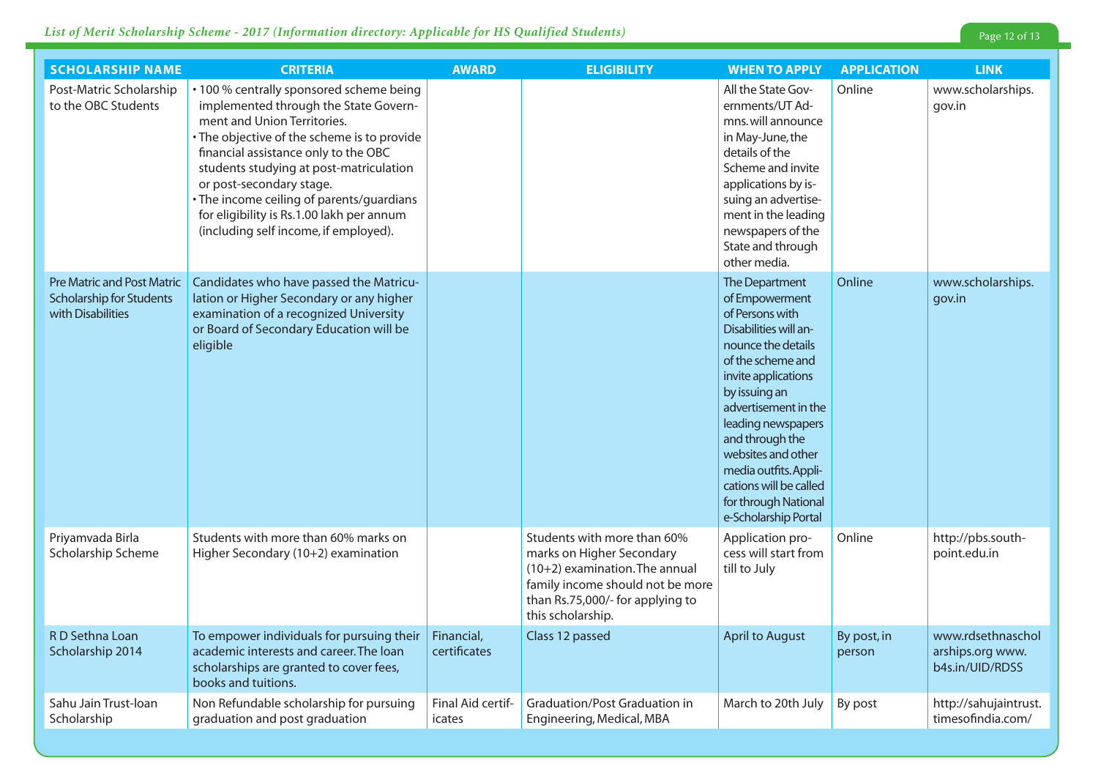| <b>SCHOLARSHIP NAME</b>                                                                   | <b>CRITERIA</b>                                                                                                                                                                                                                                                                                                                                                                                                   | <b>AWARD</b>                | <b>ELIGIBILITY</b>                                                                                                                                                                      | <b>WHEN TO APPLY</b>                                                                                                                                                                                                                                                                                                                                      | <b>APPLICATION</b>    | <b>LINK</b>                                              |
|-------------------------------------------------------------------------------------------|-------------------------------------------------------------------------------------------------------------------------------------------------------------------------------------------------------------------------------------------------------------------------------------------------------------------------------------------------------------------------------------------------------------------|-----------------------------|-----------------------------------------------------------------------------------------------------------------------------------------------------------------------------------------|-----------------------------------------------------------------------------------------------------------------------------------------------------------------------------------------------------------------------------------------------------------------------------------------------------------------------------------------------------------|-----------------------|----------------------------------------------------------|
| Post-Matric Scholarship<br>to the OBC Students                                            | • 100 % centrally sponsored scheme being<br>implemented through the State Govern-<br>ment and Union Territories.<br>• The objective of the scheme is to provide<br>financial assistance only to the OBC<br>students studying at post-matriculation<br>or post-secondary stage.<br>· The income ceiling of parents/guardians<br>for eligibility is Rs.1.00 lakh per annum<br>(including self income, if employed). |                             |                                                                                                                                                                                         | All the State Gov-<br>ernments/UT Ad-<br>mns. will announce<br>in May-June, the<br>details of the<br>Scheme and invite<br>applications by is-<br>suing an advertise-<br>ment in the leading<br>newspapers of the<br>State and through<br>other media.                                                                                                     | Online                | www.scholarships.<br>gov.in                              |
| <b>Pre Matric and Post Matric</b><br><b>Scholarship for Students</b><br>with Disabilities | Candidates who have passed the Matricu-<br>lation or Higher Secondary or any higher<br>examination of a recognized University<br>or Board of Secondary Education will be<br>eligible                                                                                                                                                                                                                              |                             |                                                                                                                                                                                         | The Department<br>of Empowerment<br>of Persons with<br>Disabilities will an-<br>nounce the details<br>of the scheme and<br>invite applications<br>by issuing an<br>advertisement in the<br>leading newspapers<br>and through the<br>websites and other<br>media outfits. Appli-<br>cations will be called<br>for through National<br>e-Scholarship Portal | Online                | www.scholarships.<br>gov.in                              |
| Priyamvada Birla<br>Scholarship Scheme                                                    | Students with more than 60% marks on<br>Higher Secondary (10+2) examination                                                                                                                                                                                                                                                                                                                                       |                             | Students with more than 60%<br>marks on Higher Secondary<br>(10+2) examination. The annual<br>family income should not be more<br>than Rs.75,000/- for applying to<br>this scholarship. | Application pro-<br>cess will start from<br>till to July                                                                                                                                                                                                                                                                                                  | Online                | http://pbs.south-<br>point.edu.in                        |
| R D Sethna Loan<br>Scholarship 2014                                                       | To empower individuals for pursuing their<br>academic interests and career. The loan<br>scholarships are granted to cover fees,<br>books and tuitions.                                                                                                                                                                                                                                                            | Financial,<br>certificates  | Class 12 passed                                                                                                                                                                         | <b>April to August</b>                                                                                                                                                                                                                                                                                                                                    | By post, in<br>person | www.rdsethnaschol<br>arships.org www.<br>b4s.in/UID/RDSS |
| Sahu Jain Trust-Ioan<br>Scholarship                                                       | Non Refundable scholarship for pursuing<br>graduation and post graduation                                                                                                                                                                                                                                                                                                                                         | Final Aid certif-<br>icates | Graduation/Post Graduation in<br>Engineering, Medical, MBA                                                                                                                              | March to 20th July                                                                                                                                                                                                                                                                                                                                        | By post               | http://sahujaintrust.<br>timesofindia.com/               |